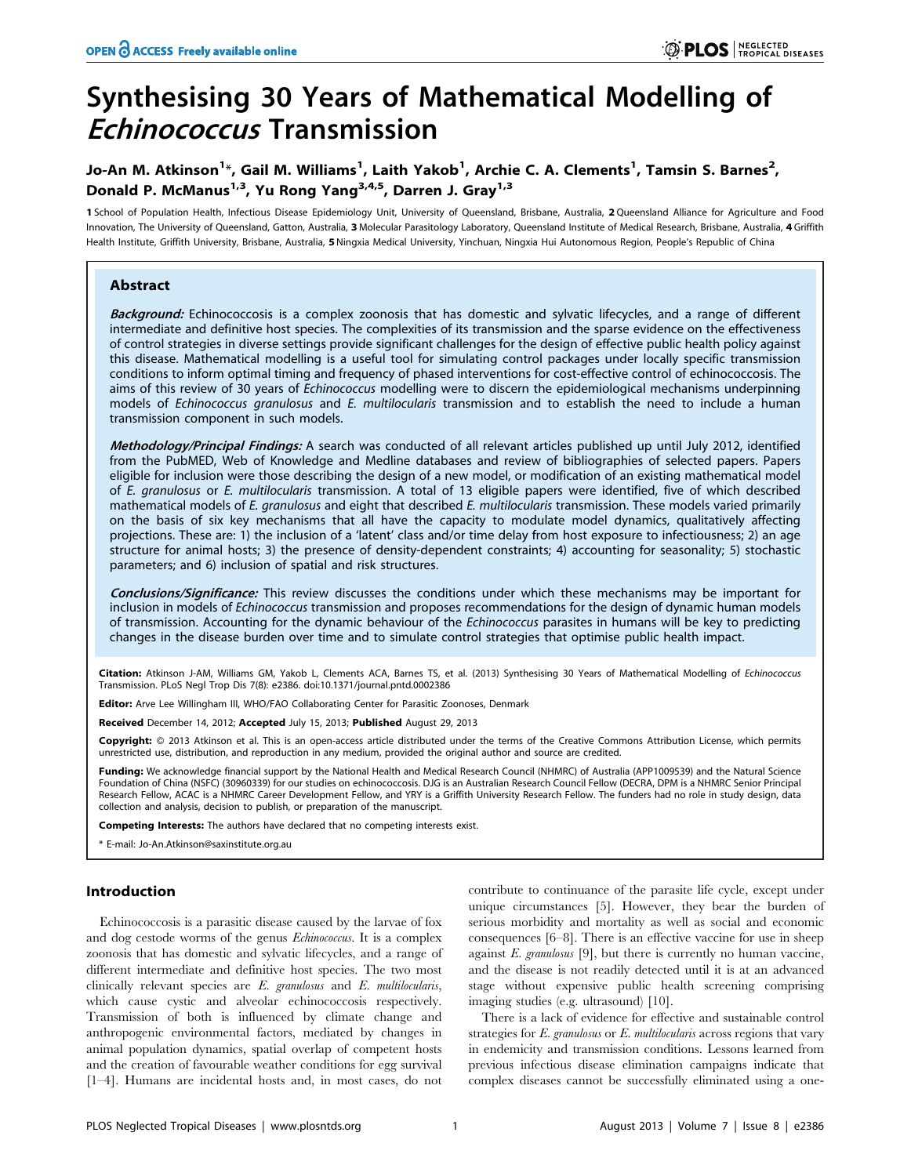# Synthesising 30 Years of Mathematical Modelling of Echinococcus Transmission

# Jo-An M. Atkinson $^{1*}$ , Gail M. Williams $^{1}$ , Laith Yakob $^{1}$ , Archie C. A. Clements $^{1}$ , Tamsin S. Barnes $^{2}$ , Donald P. McManus<sup>1,3</sup>, Yu Rong Yang<sup>3,4,5</sup>, Darren J. Gray<sup>1,3</sup>

1 School of Population Health, Infectious Disease Epidemiology Unit, University of Queensland, Brisbane, Australia, 2 Queensland Alliance for Agriculture and Food Innovation, The University of Queensland, Gatton, Australia, 3 Molecular Parasitology Laboratory, Queensland Institute of Medical Research, Brisbane, Australia, 4 Griffith Health Institute, Griffith University, Brisbane, Australia, 5 Ningxia Medical University, Yinchuan, Ningxia Hui Autonomous Region, People's Republic of China

# Abstract

Background: Echinococcosis is a complex zoonosis that has domestic and sylvatic lifecycles, and a range of different intermediate and definitive host species. The complexities of its transmission and the sparse evidence on the effectiveness of control strategies in diverse settings provide significant challenges for the design of effective public health policy against this disease. Mathematical modelling is a useful tool for simulating control packages under locally specific transmission conditions to inform optimal timing and frequency of phased interventions for cost-effective control of echinococcosis. The aims of this review of 30 years of Echinococcus modelling were to discern the epidemiological mechanisms underpinning models of Echinococcus granulosus and E. multilocularis transmission and to establish the need to include a human transmission component in such models.

Methodology/Principal Findings: A search was conducted of all relevant articles published up until July 2012, identified from the PubMED, Web of Knowledge and Medline databases and review of bibliographies of selected papers. Papers eligible for inclusion were those describing the design of a new model, or modification of an existing mathematical model of E. granulosus or E. multilocularis transmission. A total of 13 eligible papers were identified, five of which described mathematical models of E. granulosus and eight that described E. multilocularis transmission. These models varied primarily on the basis of six key mechanisms that all have the capacity to modulate model dynamics, qualitatively affecting projections. These are: 1) the inclusion of a 'latent' class and/or time delay from host exposure to infectiousness; 2) an age structure for animal hosts; 3) the presence of density-dependent constraints; 4) accounting for seasonality; 5) stochastic parameters; and 6) inclusion of spatial and risk structures.

Conclusions/Significance: This review discusses the conditions under which these mechanisms may be important for inclusion in models of Echinococcus transmission and proposes recommendations for the design of dynamic human models of transmission. Accounting for the dynamic behaviour of the Echinococcus parasites in humans will be key to predicting changes in the disease burden over time and to simulate control strategies that optimise public health impact.

Citation: Atkinson J-AM, Williams GM, Yakob L, Clements ACA, Barnes TS, et al. (2013) Synthesising 30 Years of Mathematical Modelling of Echinococcus Transmission. PLoS Negl Trop Dis 7(8): e2386. doi:10.1371/journal.pntd.0002386

Editor: Arve Lee Willingham III, WHO/FAO Collaborating Center for Parasitic Zoonoses, Denmark

Received December 14, 2012; Accepted July 15, 2013; Published August 29, 2013

Copyright: © 2013 Atkinson et al. This is an open-access article distributed under the terms of the Creative Commons Attribution License, which permits unrestricted use, distribution, and reproduction in any medium, provided the original author and source are credited.

Funding: We acknowledge financial support by the National Health and Medical Research Council (NHMRC) of Australia (APP1009539) and the Natural Science Foundation of China (NSFC) (30960339) for our studies on echinococcosis. DJG is an Australian Research Council Fellow (DECRA, DPM is a NHMRC Senior Principal Research Fellow, ACAC is a NHMRC Career Development Fellow, and YRY is a Griffith University Research Fellow. The funders had no role in study design, data collection and analysis, decision to publish, or preparation of the manuscript.

Competing Interests: The authors have declared that no competing interests exist.

\* E-mail: Jo-An.Atkinson@saxinstitute.org.au

# Introduction

Echinococcosis is a parasitic disease caused by the larvae of fox and dog cestode worms of the genus Echinococcus. It is a complex zoonosis that has domestic and sylvatic lifecycles, and a range of different intermediate and definitive host species. The two most clinically relevant species are  $E$ . granulosus and  $E$ . multilocularis, which cause cystic and alveolar echinococcosis respectively. Transmission of both is influenced by climate change and anthropogenic environmental factors, mediated by changes in animal population dynamics, spatial overlap of competent hosts and the creation of favourable weather conditions for egg survival [1–4]. Humans are incidental hosts and, in most cases, do not

contribute to continuance of the parasite life cycle, except under unique circumstances [5]. However, they bear the burden of serious morbidity and mortality as well as social and economic consequences [6–8]. There is an effective vaccine for use in sheep against E. granulosus [9], but there is currently no human vaccine, and the disease is not readily detected until it is at an advanced stage without expensive public health screening comprising imaging studies (e.g. ultrasound) [10].

There is a lack of evidence for effective and sustainable control strategies for  $E$ , granulosus or  $E$ , multilocularis across regions that vary in endemicity and transmission conditions. Lessons learned from previous infectious disease elimination campaigns indicate that complex diseases cannot be successfully eliminated using a one-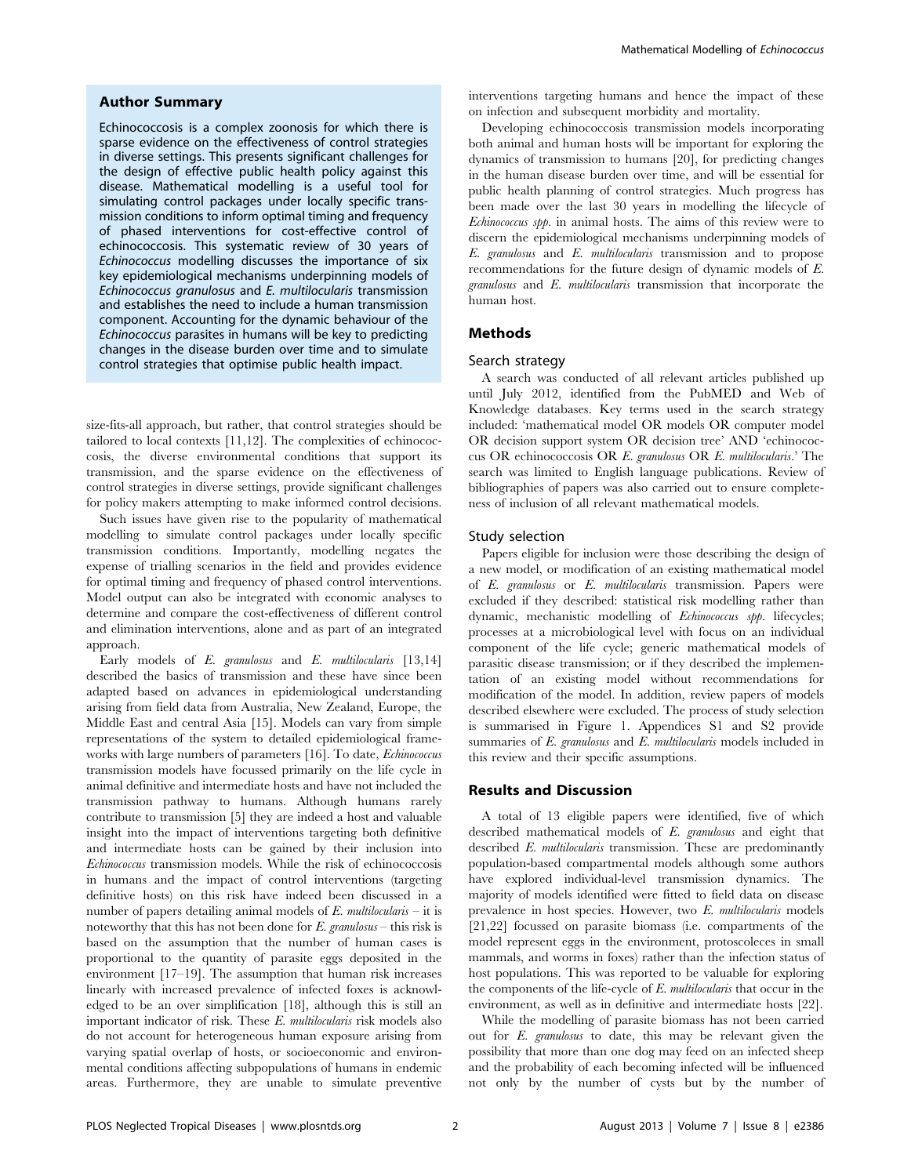#### Author Summary

Echinococcosis is a complex zoonosis for which there is sparse evidence on the effectiveness of control strategies in diverse settings. This presents significant challenges for the design of effective public health policy against this disease. Mathematical modelling is a useful tool for simulating control packages under locally specific transmission conditions to inform optimal timing and frequency of phased interventions for cost-effective control of echinococcosis. This systematic review of 30 years of Echinococcus modelling discusses the importance of six key epidemiological mechanisms underpinning models of Echinococcus granulosus and E. multilocularis transmission and establishes the need to include a human transmission component. Accounting for the dynamic behaviour of the Echinococcus parasites in humans will be key to predicting changes in the disease burden over time and to simulate control strategies that optimise public health impact.

size-fits-all approach, but rather, that control strategies should be tailored to local contexts [11,12]. The complexities of echinococcosis, the diverse environmental conditions that support its transmission, and the sparse evidence on the effectiveness of control strategies in diverse settings, provide significant challenges for policy makers attempting to make informed control decisions.

Such issues have given rise to the popularity of mathematical modelling to simulate control packages under locally specific transmission conditions. Importantly, modelling negates the expense of trialling scenarios in the field and provides evidence for optimal timing and frequency of phased control interventions. Model output can also be integrated with economic analyses to determine and compare the cost-effectiveness of different control and elimination interventions, alone and as part of an integrated approach.

Early models of E. granulosus and E. multilocularis [13,14] described the basics of transmission and these have since been adapted based on advances in epidemiological understanding arising from field data from Australia, New Zealand, Europe, the Middle East and central Asia [15]. Models can vary from simple representations of the system to detailed epidemiological frameworks with large numbers of parameters [16]. To date, Echinococcus transmission models have focussed primarily on the life cycle in animal definitive and intermediate hosts and have not included the transmission pathway to humans. Although humans rarely contribute to transmission [5] they are indeed a host and valuable insight into the impact of interventions targeting both definitive and intermediate hosts can be gained by their inclusion into Echinococcus transmission models. While the risk of echinococcosis in humans and the impact of control interventions (targeting definitive hosts) on this risk have indeed been discussed in a number of papers detailing animal models of  $E$ . multilocularis – it is noteworthy that this has not been done for  $E$ . granulosus – this risk is based on the assumption that the number of human cases is proportional to the quantity of parasite eggs deposited in the environment [17–19]. The assumption that human risk increases linearly with increased prevalence of infected foxes is acknowledged to be an over simplification [18], although this is still an important indicator of risk. These E. multilocularis risk models also do not account for heterogeneous human exposure arising from varying spatial overlap of hosts, or socioeconomic and environmental conditions affecting subpopulations of humans in endemic areas. Furthermore, they are unable to simulate preventive interventions targeting humans and hence the impact of these on infection and subsequent morbidity and mortality.

Developing echinococcosis transmission models incorporating both animal and human hosts will be important for exploring the dynamics of transmission to humans [20], for predicting changes in the human disease burden over time, and will be essential for public health planning of control strategies. Much progress has been made over the last 30 years in modelling the lifecycle of Echinococcus spp. in animal hosts. The aims of this review were to discern the epidemiological mechanisms underpinning models of E. granulosus and E. multilocularis transmission and to propose recommendations for the future design of dynamic models of E. granulosus and E. multilocularis transmission that incorporate the human host.

## Methods

#### Search strategy

A search was conducted of all relevant articles published up until July 2012, identified from the PubMED and Web of Knowledge databases. Key terms used in the search strategy included: 'mathematical model OR models OR computer model OR decision support system OR decision tree' AND 'echinococcus OR echinococcosis OR E. granulosus OR E. multilocularis.' The search was limited to English language publications. Review of bibliographies of papers was also carried out to ensure completeness of inclusion of all relevant mathematical models.

#### Study selection

Papers eligible for inclusion were those describing the design of a new model, or modification of an existing mathematical model of E. granulosus or E. multilocularis transmission. Papers were excluded if they described: statistical risk modelling rather than dynamic, mechanistic modelling of *Echinococcus spp*. lifecycles; processes at a microbiological level with focus on an individual component of the life cycle; generic mathematical models of parasitic disease transmission; or if they described the implementation of an existing model without recommendations for modification of the model. In addition, review papers of models described elsewhere were excluded. The process of study selection is summarised in Figure 1. Appendices S1 and S2 provide summaries of E. granulosus and E. multilocularis models included in this review and their specific assumptions.

# Results and Discussion

A total of 13 eligible papers were identified, five of which described mathematical models of E. granulosus and eight that described E. multilocularis transmission. These are predominantly population-based compartmental models although some authors have explored individual-level transmission dynamics. The majority of models identified were fitted to field data on disease prevalence in host species. However, two E. multilocularis models [21,22] focussed on parasite biomass (i.e. compartments of the model represent eggs in the environment, protoscoleces in small mammals, and worms in foxes) rather than the infection status of host populations. This was reported to be valuable for exploring the components of the life-cycle of E. multilocularis that occur in the environment, as well as in definitive and intermediate hosts [22].

While the modelling of parasite biomass has not been carried out for E. granulosus to date, this may be relevant given the possibility that more than one dog may feed on an infected sheep and the probability of each becoming infected will be influenced not only by the number of cysts but by the number of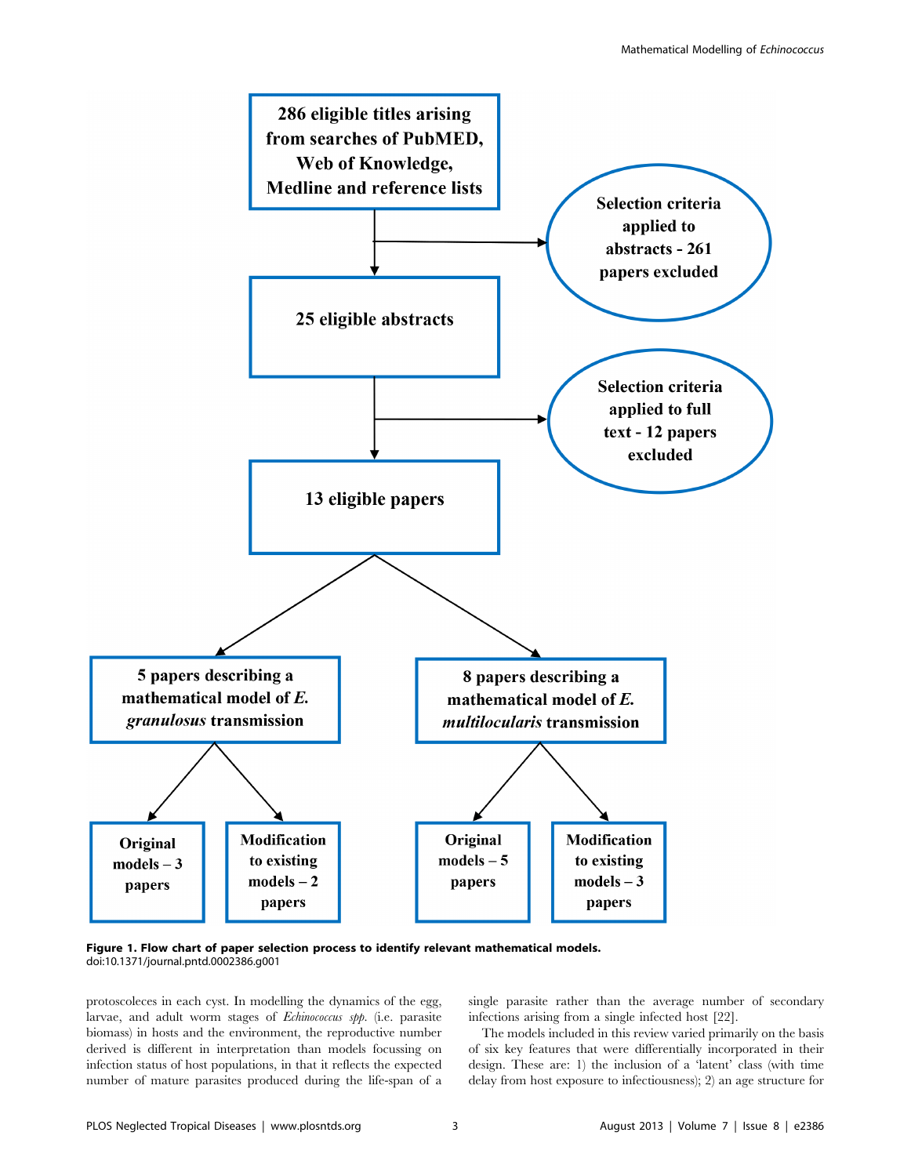

Figure 1. Flow chart of paper selection process to identify relevant mathematical models. doi:10.1371/journal.pntd.0002386.g001

protoscoleces in each cyst. In modelling the dynamics of the egg, larvae, and adult worm stages of Echinococcus spp. (i.e. parasite biomass) in hosts and the environment, the reproductive number derived is different in interpretation than models focussing on infection status of host populations, in that it reflects the expected number of mature parasites produced during the life-span of a single parasite rather than the average number of secondary infections arising from a single infected host [22].

The models included in this review varied primarily on the basis of six key features that were differentially incorporated in their design. These are: 1) the inclusion of a 'latent' class (with time delay from host exposure to infectiousness); 2) an age structure for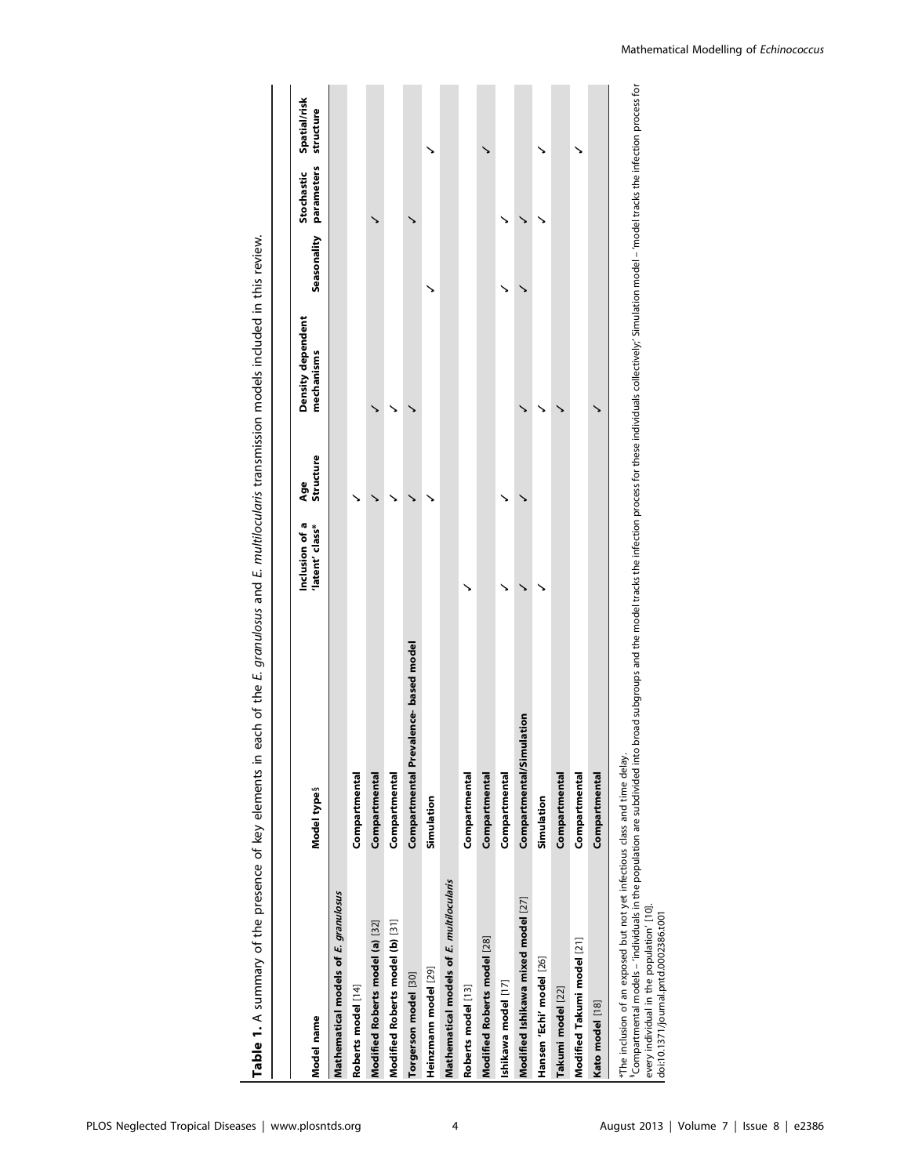| Model name                                                                | Model types                                                                                                                                                                                                          | Inclusion of a<br>'latent' class* | Structure<br>Age | Density dependent<br>mechanisms | Seasonality | parameters<br>Stochastic | Spatial/risk<br>structure |
|---------------------------------------------------------------------------|----------------------------------------------------------------------------------------------------------------------------------------------------------------------------------------------------------------------|-----------------------------------|------------------|---------------------------------|-------------|--------------------------|---------------------------|
| Mathematical models of E. granulosus                                      |                                                                                                                                                                                                                      |                                   |                  |                                 |             |                          |                           |
| Roberts model [14]                                                        | Compartmental                                                                                                                                                                                                        |                                   |                  |                                 |             |                          |                           |
| Modified Roberts model (a) [32]                                           | Compartmental                                                                                                                                                                                                        |                                   |                  |                                 |             |                          |                           |
| Modified Roberts model (b) [31]                                           | Compartmental                                                                                                                                                                                                        |                                   |                  |                                 |             |                          |                           |
| Torgerson model [30]                                                      | Compartmental Prevalence- based model                                                                                                                                                                                |                                   |                  |                                 |             |                          |                           |
| Heinzmann model [29]                                                      | Simulation                                                                                                                                                                                                           |                                   |                  |                                 |             |                          |                           |
| Mathematical models of E. multilocularis                                  |                                                                                                                                                                                                                      |                                   |                  |                                 |             |                          |                           |
| Roberts model [13]                                                        | Compartmental                                                                                                                                                                                                        |                                   |                  |                                 |             |                          |                           |
| Modified Roberts model [28]                                               | Compartmental                                                                                                                                                                                                        |                                   |                  |                                 |             |                          |                           |
| Ishikawa model [17]                                                       | Compartmental                                                                                                                                                                                                        |                                   |                  |                                 |             |                          |                           |
| Modified Ishikawa mixed model [27]                                        | Compartmental/Simulation                                                                                                                                                                                             |                                   |                  |                                 |             |                          |                           |
| Hansen 'Echi' model [26]                                                  | Simulation                                                                                                                                                                                                           |                                   |                  |                                 |             |                          |                           |
| Takumi model [22]                                                         | Compartmental                                                                                                                                                                                                        |                                   |                  |                                 |             |                          |                           |
| Modified Takumi model [21]                                                | Compartmental                                                                                                                                                                                                        |                                   |                  |                                 |             |                          |                           |
| Kato model [18]                                                           | Compartmental                                                                                                                                                                                                        |                                   |                  |                                 |             |                          |                           |
| *The inclusion of an exposed but not yet infectious class and time delay. | , Compartmental e-individuals in the population are subdivided into broad subdividuals and the model results for the infection process for the individuals (subdividuals). Subdividuals in the infection process for |                                   |                  |                                 |             |                          |                           |

Table 1. A summary of the presence of key elements in each of the E. granulosus and E. multilocularis transmission models included in this review. Table 1. A summary of the presence of key elements in each of the E. granulosus and E. multilocularis transmission models included in this review.

 $\tilde{\mathbf{e}}$ <sup>5</sup>Compartmental models - 'individuals in the population are subdivided into broad subgroups and the model tracks the infection process for these individuals collectively; Simulation model tracks the infection process for "Compartmental models – 'individuals in<br>every individual in the population' [10].<br>doi:10.1371/journal.pntd.0002386.t001 every individual in the population' [10].

Mathematical Modelling of Echinococcus

doi:10.1371/journal.pntd.0002386.t001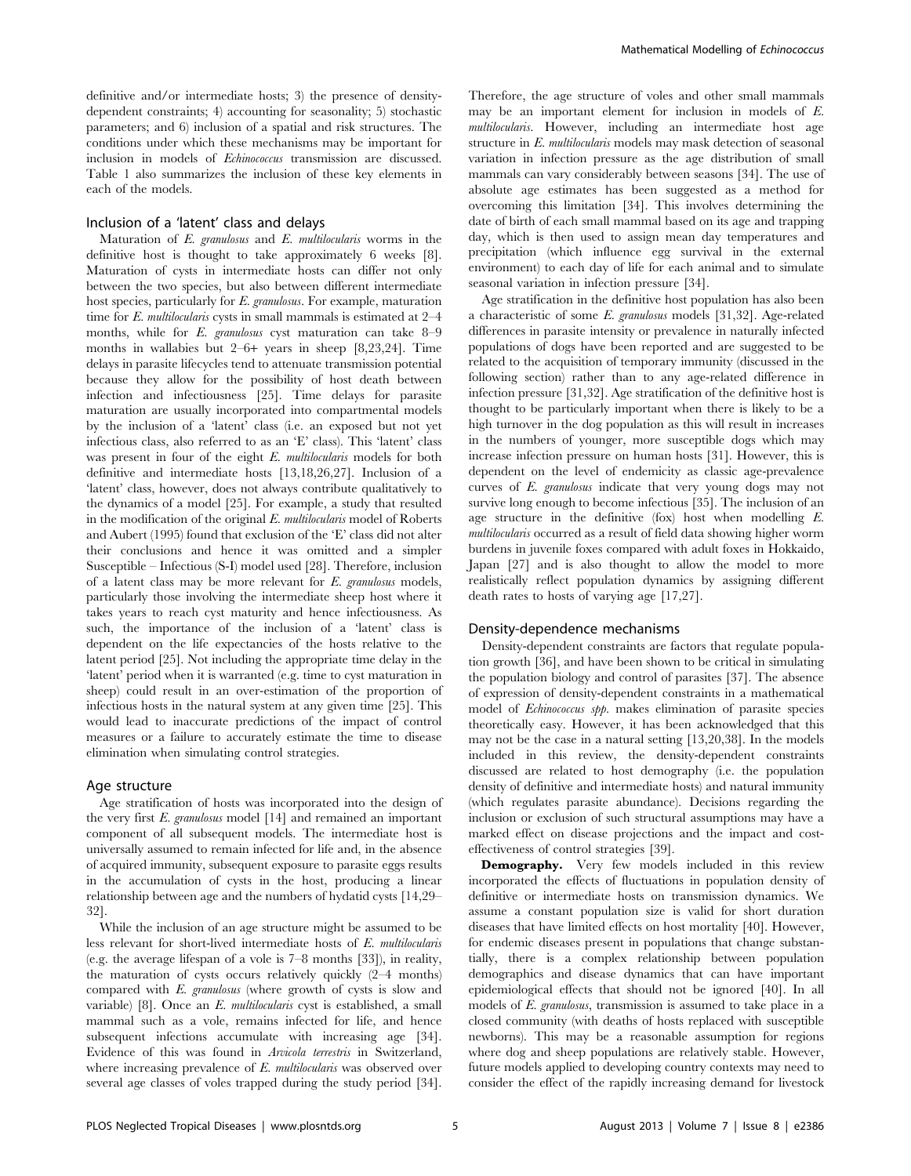definitive and/or intermediate hosts; 3) the presence of densitydependent constraints; 4) accounting for seasonality; 5) stochastic parameters; and 6) inclusion of a spatial and risk structures. The conditions under which these mechanisms may be important for inclusion in models of Echinococcus transmission are discussed. Table 1 also summarizes the inclusion of these key elements in each of the models.

#### Inclusion of a 'latent' class and delays

Maturation of  $E$ , granulosus and  $E$ , multilocularis worms in the definitive host is thought to take approximately 6 weeks [8]. Maturation of cysts in intermediate hosts can differ not only between the two species, but also between different intermediate host species, particularly for E. granulosus. For example, maturation time for E. multilocularis cysts in small mammals is estimated at 2–4 months, while for E. granulosus cyst maturation can take 8-9 months in wallabies but 2–6+ years in sheep [8,23,24]. Time delays in parasite lifecycles tend to attenuate transmission potential because they allow for the possibility of host death between infection and infectiousness [25]. Time delays for parasite maturation are usually incorporated into compartmental models by the inclusion of a 'latent' class (i.e. an exposed but not yet infectious class, also referred to as an 'E' class). This 'latent' class was present in four of the eight E. multilocularis models for both definitive and intermediate hosts [13,18,26,27]. Inclusion of a 'latent' class, however, does not always contribute qualitatively to the dynamics of a model [25]. For example, a study that resulted in the modification of the original  $E$ . *multilocularis* model of Roberts and Aubert (1995) found that exclusion of the 'E' class did not alter their conclusions and hence it was omitted and a simpler Susceptible – Infectious (S-I) model used [28]. Therefore, inclusion of a latent class may be more relevant for E. granulosus models, particularly those involving the intermediate sheep host where it takes years to reach cyst maturity and hence infectiousness. As such, the importance of the inclusion of a 'latent' class is dependent on the life expectancies of the hosts relative to the latent period [25]. Not including the appropriate time delay in the 'latent' period when it is warranted (e.g. time to cyst maturation in sheep) could result in an over-estimation of the proportion of infectious hosts in the natural system at any given time [25]. This would lead to inaccurate predictions of the impact of control measures or a failure to accurately estimate the time to disease elimination when simulating control strategies.

#### Age structure

Age stratification of hosts was incorporated into the design of the very first E. granulosus model [14] and remained an important component of all subsequent models. The intermediate host is universally assumed to remain infected for life and, in the absence of acquired immunity, subsequent exposure to parasite eggs results in the accumulation of cysts in the host, producing a linear relationship between age and the numbers of hydatid cysts [14,29– 32].

While the inclusion of an age structure might be assumed to be less relevant for short-lived intermediate hosts of E. multilocularis (e.g. the average lifespan of a vole is 7–8 months [33]), in reality, the maturation of cysts occurs relatively quickly (2–4 months) compared with E. granulosus (where growth of cysts is slow and variable) [8]. Once an E. multilocularis cyst is established, a small mammal such as a vole, remains infected for life, and hence subsequent infections accumulate with increasing age [34]. Evidence of this was found in Arvicola terrestris in Switzerland, where increasing prevalence of E. multilocularis was observed over several age classes of voles trapped during the study period [34].

Therefore, the age structure of voles and other small mammals may be an important element for inclusion in models of E. multilocularis. However, including an intermediate host age structure in E. multilocularis models may mask detection of seasonal variation in infection pressure as the age distribution of small mammals can vary considerably between seasons [34]. The use of absolute age estimates has been suggested as a method for overcoming this limitation [34]. This involves determining the date of birth of each small mammal based on its age and trapping day, which is then used to assign mean day temperatures and precipitation (which influence egg survival in the external environment) to each day of life for each animal and to simulate seasonal variation in infection pressure [34].

Age stratification in the definitive host population has also been a characteristic of some E. granulosus models [31,32]. Age-related differences in parasite intensity or prevalence in naturally infected populations of dogs have been reported and are suggested to be related to the acquisition of temporary immunity (discussed in the following section) rather than to any age-related difference in infection pressure [31,32]. Age stratification of the definitive host is thought to be particularly important when there is likely to be a high turnover in the dog population as this will result in increases in the numbers of younger, more susceptible dogs which may increase infection pressure on human hosts [31]. However, this is dependent on the level of endemicity as classic age-prevalence curves of E. granulosus indicate that very young dogs may not survive long enough to become infectious [35]. The inclusion of an age structure in the definitive (fox) host when modelling E. multilocularis occurred as a result of field data showing higher worm burdens in juvenile foxes compared with adult foxes in Hokkaido, Japan [27] and is also thought to allow the model to more realistically reflect population dynamics by assigning different death rates to hosts of varying age [17,27].

#### Density-dependence mechanisms

Density-dependent constraints are factors that regulate population growth [36], and have been shown to be critical in simulating the population biology and control of parasites [37]. The absence of expression of density-dependent constraints in a mathematical model of Echinococcus spp. makes elimination of parasite species theoretically easy. However, it has been acknowledged that this may not be the case in a natural setting [13,20,38]. In the models included in this review, the density-dependent constraints discussed are related to host demography (i.e. the population density of definitive and intermediate hosts) and natural immunity (which regulates parasite abundance). Decisions regarding the inclusion or exclusion of such structural assumptions may have a marked effect on disease projections and the impact and costeffectiveness of control strategies [39].

Demography. Very few models included in this review incorporated the effects of fluctuations in population density of definitive or intermediate hosts on transmission dynamics. We assume a constant population size is valid for short duration diseases that have limited effects on host mortality [40]. However, for endemic diseases present in populations that change substantially, there is a complex relationship between population demographics and disease dynamics that can have important epidemiological effects that should not be ignored [40]. In all models of E. granulosus, transmission is assumed to take place in a closed community (with deaths of hosts replaced with susceptible newborns). This may be a reasonable assumption for regions where dog and sheep populations are relatively stable. However, future models applied to developing country contexts may need to consider the effect of the rapidly increasing demand for livestock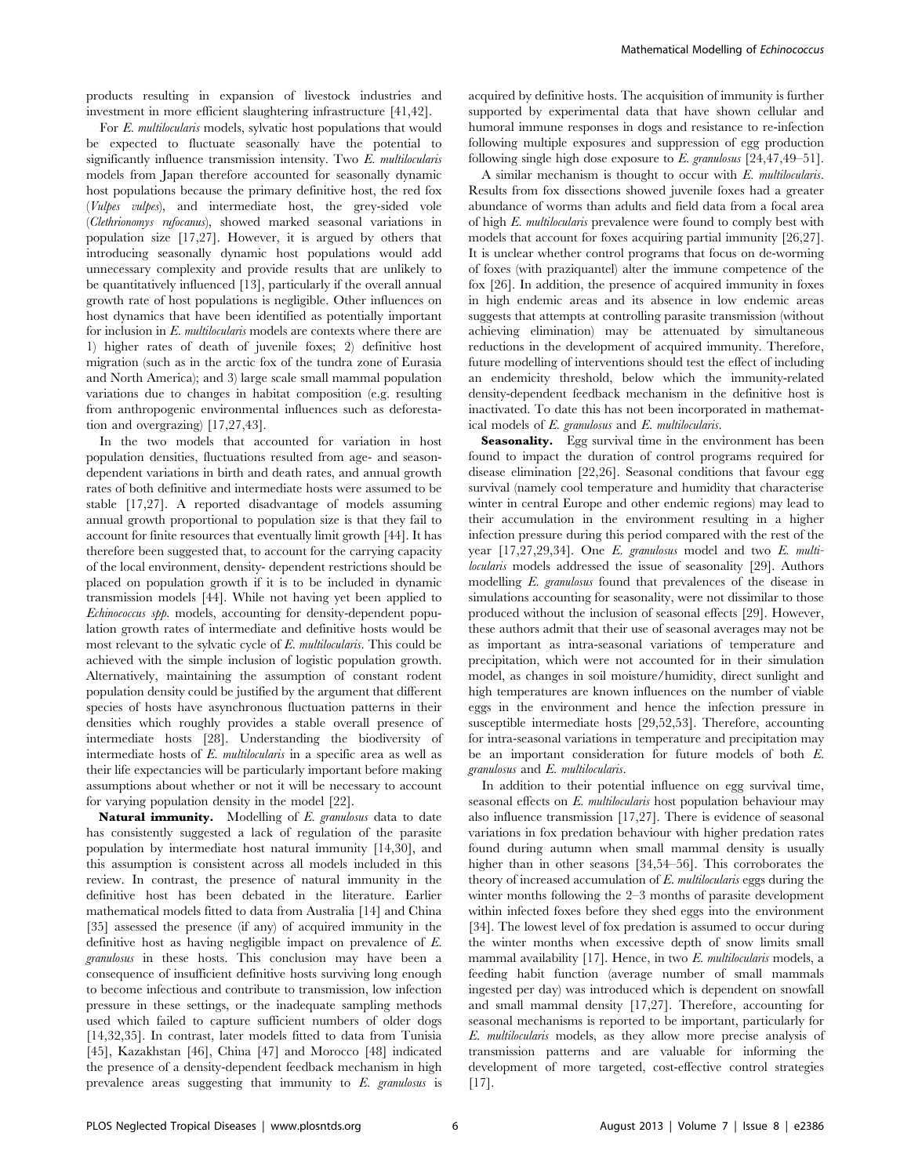products resulting in expansion of livestock industries and investment in more efficient slaughtering infrastructure [41,42].

For E. multilocularis models, sylvatic host populations that would be expected to fluctuate seasonally have the potential to significantly influence transmission intensity. Two E. multilocularis models from Japan therefore accounted for seasonally dynamic host populations because the primary definitive host, the red fox (Vulpes vulpes), and intermediate host, the grey-sided vole (Clethrionomys rufocanus), showed marked seasonal variations in population size [17,27]. However, it is argued by others that introducing seasonally dynamic host populations would add unnecessary complexity and provide results that are unlikely to be quantitatively influenced [13], particularly if the overall annual growth rate of host populations is negligible. Other influences on host dynamics that have been identified as potentially important for inclusion in E. multilocularis models are contexts where there are 1) higher rates of death of juvenile foxes; 2) definitive host migration (such as in the arctic fox of the tundra zone of Eurasia and North America); and 3) large scale small mammal population variations due to changes in habitat composition (e.g. resulting from anthropogenic environmental influences such as deforestation and overgrazing) [17,27,43].

In the two models that accounted for variation in host population densities, fluctuations resulted from age- and seasondependent variations in birth and death rates, and annual growth rates of both definitive and intermediate hosts were assumed to be stable [17,27]. A reported disadvantage of models assuming annual growth proportional to population size is that they fail to account for finite resources that eventually limit growth [44]. It has therefore been suggested that, to account for the carrying capacity of the local environment, density- dependent restrictions should be placed on population growth if it is to be included in dynamic transmission models [44]. While not having yet been applied to Echinococcus spp. models, accounting for density-dependent population growth rates of intermediate and definitive hosts would be most relevant to the sylvatic cycle of E. multilocularis. This could be achieved with the simple inclusion of logistic population growth. Alternatively, maintaining the assumption of constant rodent population density could be justified by the argument that different species of hosts have asynchronous fluctuation patterns in their densities which roughly provides a stable overall presence of intermediate hosts [28]. Understanding the biodiversity of intermediate hosts of E. multilocularis in a specific area as well as their life expectancies will be particularly important before making assumptions about whether or not it will be necessary to account for varying population density in the model [22].

Natural immunity. Modelling of E. granulosus data to date has consistently suggested a lack of regulation of the parasite population by intermediate host natural immunity [14,30], and this assumption is consistent across all models included in this review. In contrast, the presence of natural immunity in the definitive host has been debated in the literature. Earlier mathematical models fitted to data from Australia [14] and China [35] assessed the presence (if any) of acquired immunity in the definitive host as having negligible impact on prevalence of E. granulosus in these hosts. This conclusion may have been a consequence of insufficient definitive hosts surviving long enough to become infectious and contribute to transmission, low infection pressure in these settings, or the inadequate sampling methods used which failed to capture sufficient numbers of older dogs [14,32,35]. In contrast, later models fitted to data from Tunisia [45], Kazakhstan [46], China [47] and Morocco [48] indicated the presence of a density-dependent feedback mechanism in high prevalence areas suggesting that immunity to E. granulosus is

acquired by definitive hosts. The acquisition of immunity is further supported by experimental data that have shown cellular and humoral immune responses in dogs and resistance to re-infection following multiple exposures and suppression of egg production following single high dose exposure to E. granulosus  $[24,47,49-51]$ .

A similar mechanism is thought to occur with  $E$ . multilocularis. Results from fox dissections showed juvenile foxes had a greater abundance of worms than adults and field data from a focal area of high E. multilocularis prevalence were found to comply best with models that account for foxes acquiring partial immunity [26,27]. It is unclear whether control programs that focus on de-worming of foxes (with praziquantel) alter the immune competence of the fox [26]. In addition, the presence of acquired immunity in foxes in high endemic areas and its absence in low endemic areas suggests that attempts at controlling parasite transmission (without achieving elimination) may be attenuated by simultaneous reductions in the development of acquired immunity. Therefore, future modelling of interventions should test the effect of including an endemicity threshold, below which the immunity-related density-dependent feedback mechanism in the definitive host is inactivated. To date this has not been incorporated in mathematical models of E. granulosus and E. multilocularis.

Seasonality. Egg survival time in the environment has been found to impact the duration of control programs required for disease elimination [22,26]. Seasonal conditions that favour egg survival (namely cool temperature and humidity that characterise winter in central Europe and other endemic regions) may lead to their accumulation in the environment resulting in a higher infection pressure during this period compared with the rest of the year [17,27,29,34]. One E. granulosus model and two E. multilocularis models addressed the issue of seasonality [29]. Authors modelling E. granulosus found that prevalences of the disease in simulations accounting for seasonality, were not dissimilar to those produced without the inclusion of seasonal effects [29]. However, these authors admit that their use of seasonal averages may not be as important as intra-seasonal variations of temperature and precipitation, which were not accounted for in their simulation model, as changes in soil moisture/humidity, direct sunlight and high temperatures are known influences on the number of viable eggs in the environment and hence the infection pressure in susceptible intermediate hosts [29,52,53]. Therefore, accounting for intra-seasonal variations in temperature and precipitation may be an important consideration for future models of both E. granulosus and E. multilocularis.

In addition to their potential influence on egg survival time, seasonal effects on E. multilocularis host population behaviour may also influence transmission [17,27]. There is evidence of seasonal variations in fox predation behaviour with higher predation rates found during autumn when small mammal density is usually higher than in other seasons [34,54–56]. This corroborates the theory of increased accumulation of E. multilocularis eggs during the winter months following the 2–3 months of parasite development within infected foxes before they shed eggs into the environment [34]. The lowest level of fox predation is assumed to occur during the winter months when excessive depth of snow limits small mammal availability [17]. Hence, in two E. multilocularis models, a feeding habit function (average number of small mammals ingested per day) was introduced which is dependent on snowfall and small mammal density [17,27]. Therefore, accounting for seasonal mechanisms is reported to be important, particularly for E. multilocularis models, as they allow more precise analysis of transmission patterns and are valuable for informing the development of more targeted, cost-effective control strategies [17].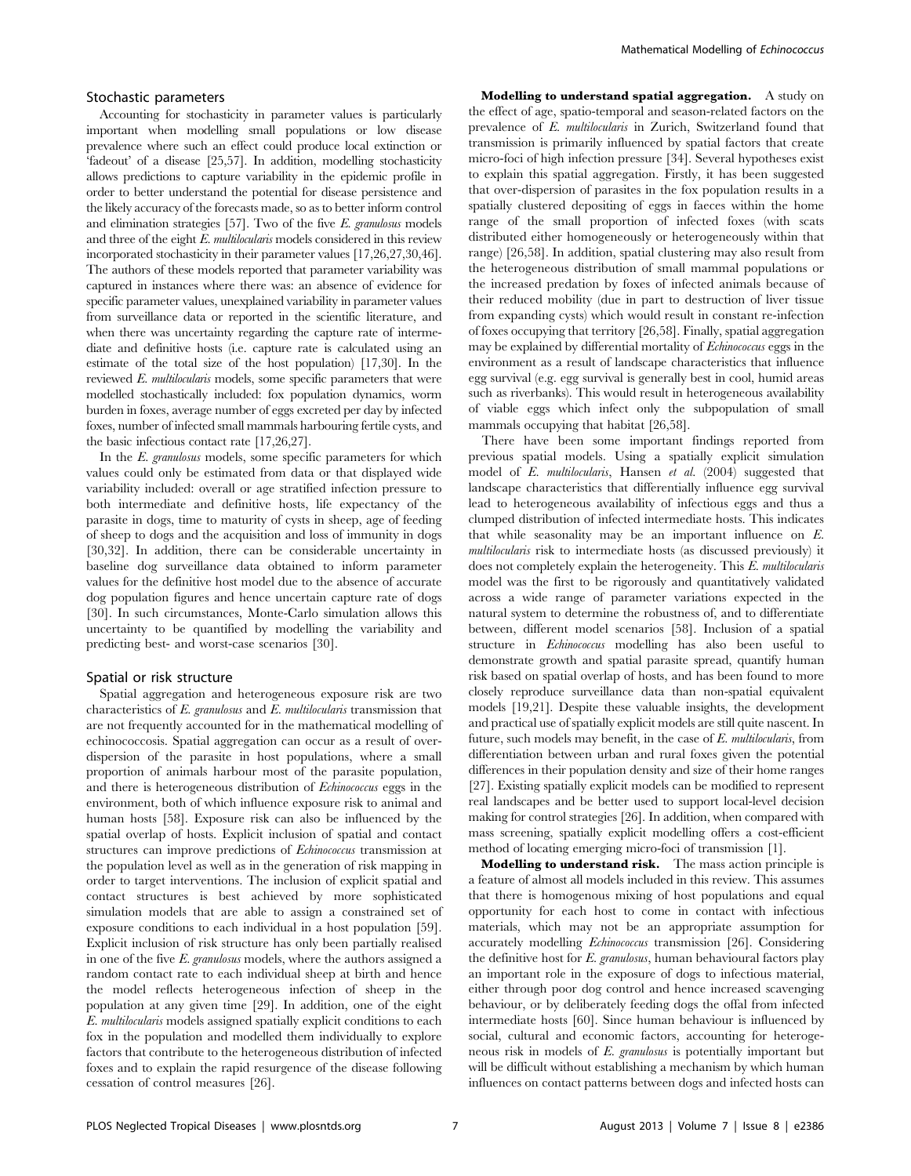#### Stochastic parameters

Accounting for stochasticity in parameter values is particularly important when modelling small populations or low disease prevalence where such an effect could produce local extinction or 'fadeout' of a disease [25,57]. In addition, modelling stochasticity allows predictions to capture variability in the epidemic profile in order to better understand the potential for disease persistence and the likely accuracy of the forecasts made, so as to better inform control and elimination strategies [57]. Two of the five E. granulosus models and three of the eight E. multilocularis models considered in this review incorporated stochasticity in their parameter values [17,26,27,30,46]. The authors of these models reported that parameter variability was captured in instances where there was: an absence of evidence for specific parameter values, unexplained variability in parameter values from surveillance data or reported in the scientific literature, and when there was uncertainty regarding the capture rate of intermediate and definitive hosts (i.e. capture rate is calculated using an estimate of the total size of the host population) [17,30]. In the reviewed E. multilocularis models, some specific parameters that were modelled stochastically included: fox population dynamics, worm burden in foxes, average number of eggs excreted per day by infected foxes, number of infected small mammals harbouring fertile cysts, and the basic infectious contact rate [17,26,27].

In the E. granulosus models, some specific parameters for which values could only be estimated from data or that displayed wide variability included: overall or age stratified infection pressure to both intermediate and definitive hosts, life expectancy of the parasite in dogs, time to maturity of cysts in sheep, age of feeding of sheep to dogs and the acquisition and loss of immunity in dogs [30,32]. In addition, there can be considerable uncertainty in baseline dog surveillance data obtained to inform parameter values for the definitive host model due to the absence of accurate dog population figures and hence uncertain capture rate of dogs [30]. In such circumstances, Monte-Carlo simulation allows this uncertainty to be quantified by modelling the variability and predicting best- and worst-case scenarios [30].

#### Spatial or risk structure

Spatial aggregation and heterogeneous exposure risk are two characteristics of E. granulosus and E. multilocularis transmission that are not frequently accounted for in the mathematical modelling of echinococcosis. Spatial aggregation can occur as a result of overdispersion of the parasite in host populations, where a small proportion of animals harbour most of the parasite population, and there is heterogeneous distribution of Echinococcus eggs in the environment, both of which influence exposure risk to animal and human hosts [58]. Exposure risk can also be influenced by the spatial overlap of hosts. Explicit inclusion of spatial and contact structures can improve predictions of Echinococcus transmission at the population level as well as in the generation of risk mapping in order to target interventions. The inclusion of explicit spatial and contact structures is best achieved by more sophisticated simulation models that are able to assign a constrained set of exposure conditions to each individual in a host population [59]. Explicit inclusion of risk structure has only been partially realised in one of the five E. granulosus models, where the authors assigned a random contact rate to each individual sheep at birth and hence the model reflects heterogeneous infection of sheep in the population at any given time [29]. In addition, one of the eight E. multilocularis models assigned spatially explicit conditions to each fox in the population and modelled them individually to explore factors that contribute to the heterogeneous distribution of infected foxes and to explain the rapid resurgence of the disease following cessation of control measures [26].

Modelling to understand spatial aggregation. A study on the effect of age, spatio-temporal and season-related factors on the prevalence of E. multilocularis in Zurich, Switzerland found that transmission is primarily influenced by spatial factors that create micro-foci of high infection pressure [34]. Several hypotheses exist to explain this spatial aggregation. Firstly, it has been suggested that over-dispersion of parasites in the fox population results in a spatially clustered depositing of eggs in faeces within the home range of the small proportion of infected foxes (with scats distributed either homogeneously or heterogeneously within that range) [26,58]. In addition, spatial clustering may also result from the heterogeneous distribution of small mammal populations or the increased predation by foxes of infected animals because of their reduced mobility (due in part to destruction of liver tissue from expanding cysts) which would result in constant re-infection of foxes occupying that territory [26,58]. Finally, spatial aggregation may be explained by differential mortality of Echinococcus eggs in the environment as a result of landscape characteristics that influence egg survival (e.g. egg survival is generally best in cool, humid areas such as riverbanks). This would result in heterogeneous availability of viable eggs which infect only the subpopulation of small mammals occupying that habitat [26,58].

There have been some important findings reported from previous spatial models. Using a spatially explicit simulation model of E. multilocularis, Hansen et al. (2004) suggested that landscape characteristics that differentially influence egg survival lead to heterogeneous availability of infectious eggs and thus a clumped distribution of infected intermediate hosts. This indicates that while seasonality may be an important influence on E. multilocularis risk to intermediate hosts (as discussed previously) it does not completely explain the heterogeneity. This E. multilocularis model was the first to be rigorously and quantitatively validated across a wide range of parameter variations expected in the natural system to determine the robustness of, and to differentiate between, different model scenarios [58]. Inclusion of a spatial structure in Echinococcus modelling has also been useful to demonstrate growth and spatial parasite spread, quantify human risk based on spatial overlap of hosts, and has been found to more closely reproduce surveillance data than non-spatial equivalent models [19,21]. Despite these valuable insights, the development and practical use of spatially explicit models are still quite nascent. In future, such models may benefit, in the case of  $E$ . multilocularis, from differentiation between urban and rural foxes given the potential differences in their population density and size of their home ranges [27]. Existing spatially explicit models can be modified to represent real landscapes and be better used to support local-level decision making for control strategies [26]. In addition, when compared with mass screening, spatially explicit modelling offers a cost-efficient method of locating emerging micro-foci of transmission [1].

Modelling to understand risk. The mass action principle is a feature of almost all models included in this review. This assumes that there is homogenous mixing of host populations and equal opportunity for each host to come in contact with infectious materials, which may not be an appropriate assumption for accurately modelling *Echinococcus* transmission [26]. Considering the definitive host for E. granulosus, human behavioural factors play an important role in the exposure of dogs to infectious material, either through poor dog control and hence increased scavenging behaviour, or by deliberately feeding dogs the offal from infected intermediate hosts [60]. Since human behaviour is influenced by social, cultural and economic factors, accounting for heterogeneous risk in models of E. granulosus is potentially important but will be difficult without establishing a mechanism by which human influences on contact patterns between dogs and infected hosts can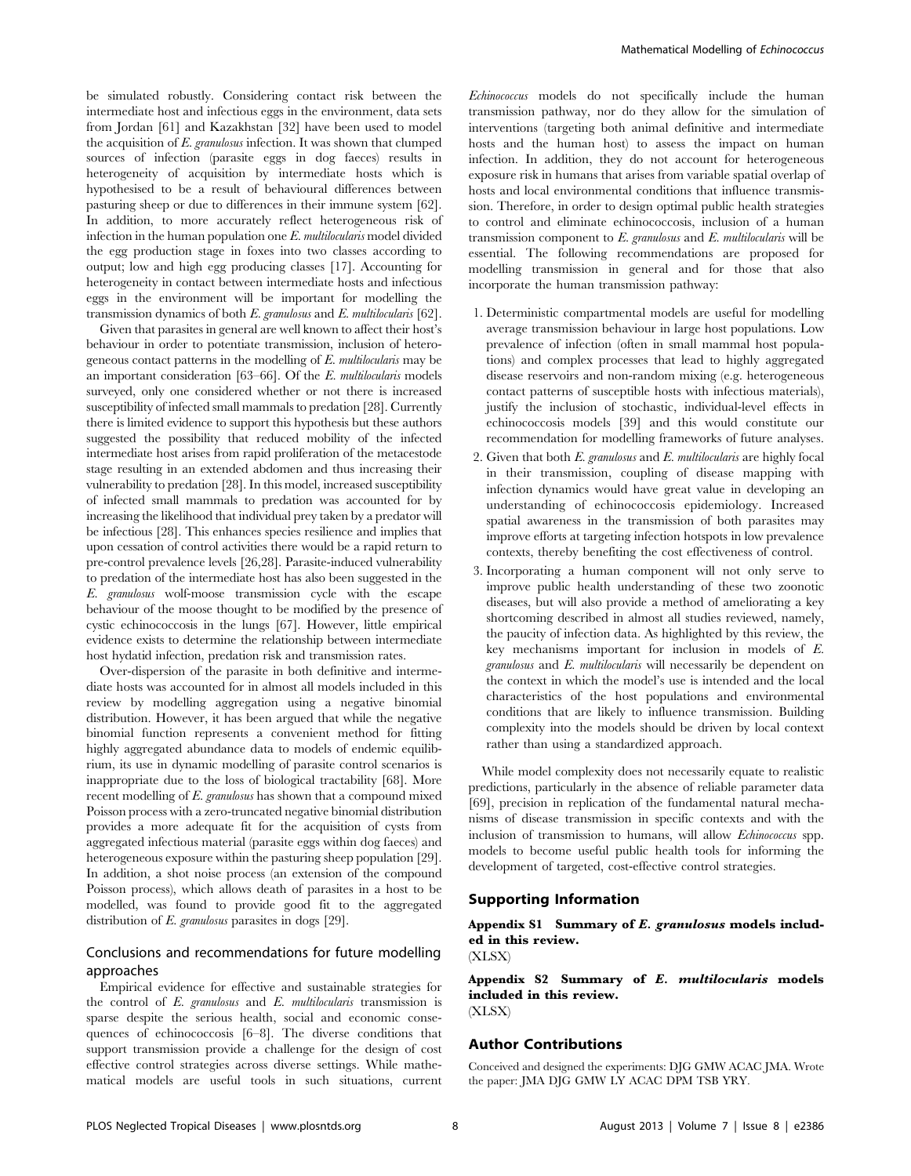be simulated robustly. Considering contact risk between the intermediate host and infectious eggs in the environment, data sets from Jordan [61] and Kazakhstan [32] have been used to model the acquisition of E. granulosus infection. It was shown that clumped sources of infection (parasite eggs in dog faeces) results in heterogeneity of acquisition by intermediate hosts which is hypothesised to be a result of behavioural differences between pasturing sheep or due to differences in their immune system [62]. In addition, to more accurately reflect heterogeneous risk of infection in the human population one E. multilocularis model divided the egg production stage in foxes into two classes according to output; low and high egg producing classes [17]. Accounting for heterogeneity in contact between intermediate hosts and infectious eggs in the environment will be important for modelling the transmission dynamics of both  $E$ , granulosus and  $E$ , multilocularis [62].

Given that parasites in general are well known to affect their host's behaviour in order to potentiate transmission, inclusion of heterogeneous contact patterns in the modelling of E. multilocularis may be an important consideration [63–66]. Of the E. multilocularis models surveyed, only one considered whether or not there is increased susceptibility of infected small mammals to predation [28]. Currently there is limited evidence to support this hypothesis but these authors suggested the possibility that reduced mobility of the infected intermediate host arises from rapid proliferation of the metacestode stage resulting in an extended abdomen and thus increasing their vulnerability to predation [28]. In this model, increased susceptibility of infected small mammals to predation was accounted for by increasing the likelihood that individual prey taken by a predator will be infectious [28]. This enhances species resilience and implies that upon cessation of control activities there would be a rapid return to pre-control prevalence levels [26,28]. Parasite-induced vulnerability to predation of the intermediate host has also been suggested in the E. granulosus wolf-moose transmission cycle with the escape behaviour of the moose thought to be modified by the presence of cystic echinococcosis in the lungs [67]. However, little empirical evidence exists to determine the relationship between intermediate host hydatid infection, predation risk and transmission rates.

Over-dispersion of the parasite in both definitive and intermediate hosts was accounted for in almost all models included in this review by modelling aggregation using a negative binomial distribution. However, it has been argued that while the negative binomial function represents a convenient method for fitting highly aggregated abundance data to models of endemic equilibrium, its use in dynamic modelling of parasite control scenarios is inappropriate due to the loss of biological tractability [68]. More recent modelling of E. granulosus has shown that a compound mixed Poisson process with a zero-truncated negative binomial distribution provides a more adequate fit for the acquisition of cysts from aggregated infectious material (parasite eggs within dog faeces) and heterogeneous exposure within the pasturing sheep population [29]. In addition, a shot noise process (an extension of the compound Poisson process), which allows death of parasites in a host to be modelled, was found to provide good fit to the aggregated distribution of E. *granulosus* parasites in dogs [29].

# Conclusions and recommendations for future modelling approaches

Empirical evidence for effective and sustainable strategies for the control of  $E$ . granulosus and  $E$ . multilocularis transmission is sparse despite the serious health, social and economic consequences of echinococcosis [6–8]. The diverse conditions that support transmission provide a challenge for the design of cost effective control strategies across diverse settings. While mathematical models are useful tools in such situations, current Echinococcus models do not specifically include the human transmission pathway, nor do they allow for the simulation of interventions (targeting both animal definitive and intermediate hosts and the human host) to assess the impact on human infection. In addition, they do not account for heterogeneous exposure risk in humans that arises from variable spatial overlap of hosts and local environmental conditions that influence transmission. Therefore, in order to design optimal public health strategies to control and eliminate echinococcosis, inclusion of a human transmission component to  $E$ . granulosus and  $E$ . multilocularis will be essential. The following recommendations are proposed for modelling transmission in general and for those that also incorporate the human transmission pathway:

- 1. Deterministic compartmental models are useful for modelling average transmission behaviour in large host populations. Low prevalence of infection (often in small mammal host populations) and complex processes that lead to highly aggregated disease reservoirs and non-random mixing (e.g. heterogeneous contact patterns of susceptible hosts with infectious materials), justify the inclusion of stochastic, individual-level effects in echinococcosis models [39] and this would constitute our recommendation for modelling frameworks of future analyses.
- 2. Given that both  $E$ , granulosus and  $E$ , multilocularis are highly focal in their transmission, coupling of disease mapping with infection dynamics would have great value in developing an understanding of echinococcosis epidemiology. Increased spatial awareness in the transmission of both parasites may improve efforts at targeting infection hotspots in low prevalence contexts, thereby benefiting the cost effectiveness of control.
- 3. Incorporating a human component will not only serve to improve public health understanding of these two zoonotic diseases, but will also provide a method of ameliorating a key shortcoming described in almost all studies reviewed, namely, the paucity of infection data. As highlighted by this review, the key mechanisms important for inclusion in models of E. granulosus and E. multilocularis will necessarily be dependent on the context in which the model's use is intended and the local characteristics of the host populations and environmental conditions that are likely to influence transmission. Building complexity into the models should be driven by local context rather than using a standardized approach.

While model complexity does not necessarily equate to realistic predictions, particularly in the absence of reliable parameter data [69], precision in replication of the fundamental natural mechanisms of disease transmission in specific contexts and with the inclusion of transmission to humans, will allow *Echinococcus* spp. models to become useful public health tools for informing the development of targeted, cost-effective control strategies.

# Supporting Information

Appendix S1 Summary of E. granulosus models included in this review. (XLSX)

Appendix S2 Summary of E. multilocularis models included in this review.  $(XLSX)$ 

## Author Contributions

Conceived and designed the experiments: DJG GMW ACAC JMA. Wrote the paper: JMA DJG GMW LY ACAC DPM TSB YRY.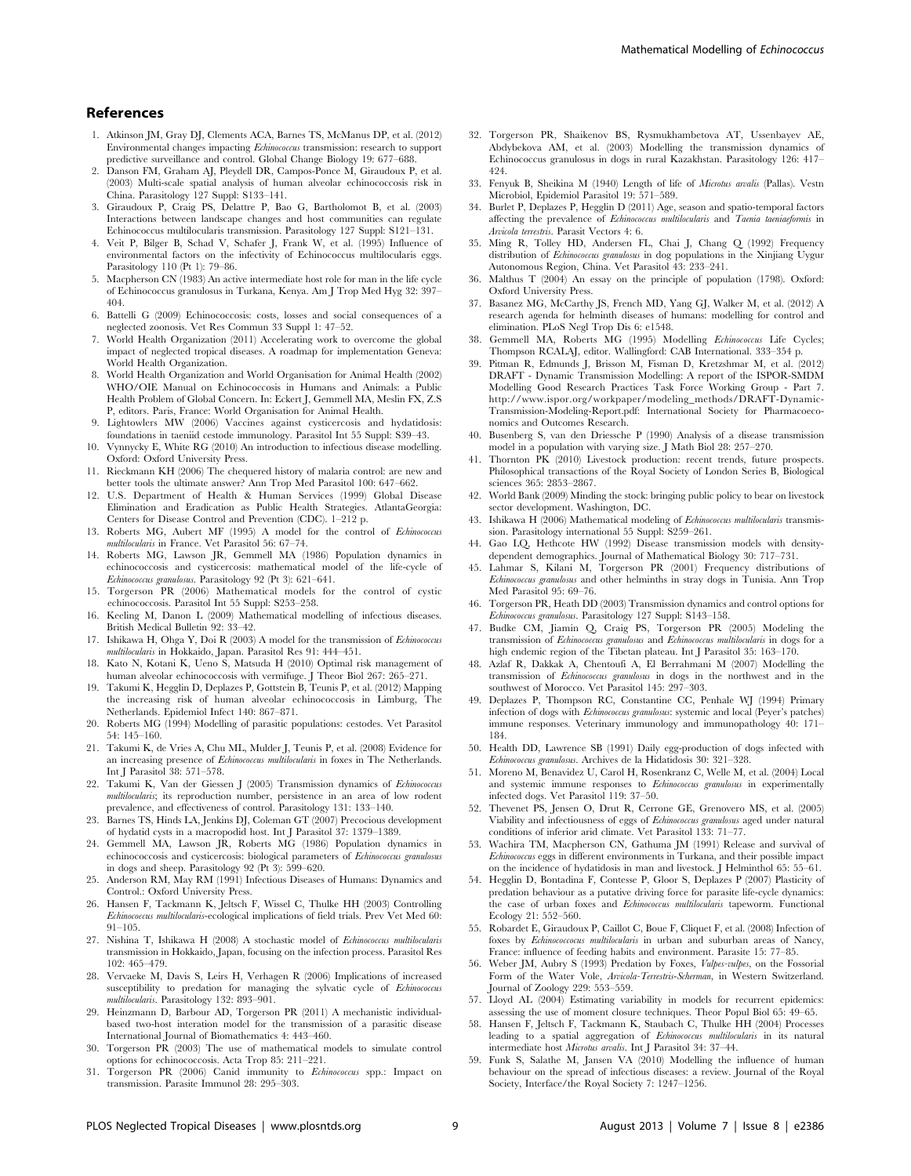## References

- 1. Atkinson JM, Gray DJ, Clements ACA, Barnes TS, McManus DP, et al. (2012) Environmental changes impacting Echinococcus transmission: research to support predictive surveillance and control. Global Change Biology 19: 677–688.
- 2. Danson FM, Graham AJ, Pleydell DR, Campos-Ponce M, Giraudoux P, et al. (2003) Multi-scale spatial analysis of human alveolar echinococcosis risk in China. Parasitology 127 Suppl: S133–141.
- 3. Giraudoux P, Craig PS, Delattre P, Bao G, Bartholomot B, et al. (2003) Interactions between landscape changes and host communities can regulate Echinococcus multilocularis transmission. Parasitology 127 Suppl: S121–131.
- 4. Veit P, Bilger B, Schad V, Schafer J, Frank W, et al. (1995) Influence of environmental factors on the infectivity of Echinococcus multilocularis eggs. Parasitology 110 (Pt 1): 79–86.
- 5. Macpherson CN (1983) An active intermediate host role for man in the life cycle of Echinococcus granulosus in Turkana, Kenya. Am J Trop Med Hyg 32: 397– 404.
- 6. Battelli G (2009) Echinococcosis: costs, losses and social consequences of a neglected zoonosis. Vet Res Commun 33 Suppl 1: 47–52.
- 7. World Health Organization (2011) Accelerating work to overcome the global impact of neglected tropical diseases. A roadmap for implementation Geneva: World Health Organization.
- 8. World Health Organization and World Organisation for Animal Health (2002) WHO/OIE Manual on Echinococcosis in Humans and Animals: a Public Health Problem of Global Concern. In: Eckert J, Gemmell MA, Meslin FX, Z.S P, editors. Paris, France: World Organisation for Animal Health.
- 9. Lightowlers MW (2006) Vaccines against cysticercosis and hydatidosis: foundations in taeniid cestode immunology. Parasitol Int 55 Suppl: S39–43.
- 10. Vynnycky E, White RG (2010) An introduction to infectious disease modelling. Oxford: Oxford University Press.
- 11. Rieckmann KH (2006) The chequered history of malaria control: are new and better tools the ultimate answer? Ann Trop Med Parasitol 100: 647–662.
- 12. U.S. Department of Health & Human Services (1999) Global Disease Elimination and Eradication as Public Health Strategies. AtlantaGeorgia: Centers for Disease Control and Prevention (CDC). 1–212 p.
- 13. Roberts MG, Aubert MF (1995) A model for the control of Echinococcus multilocularis in France. Vet Parasitol 56: 67–74.
- 14. Roberts MG, Lawson JR, Gemmell MA (1986) Population dynamics in echinococcosis and cysticercosis: mathematical model of the life-cycle of Echinococcus granulosus. Parasitology 92 (Pt 3): 621–641.
- 15. Torgerson PR (2006) Mathematical models for the control of cystic echinococcosis. Parasitol Int 55 Suppl: S253–258.
- 16. Keeling M, Danon L (2009) Mathematical modelling of infectious diseases. British Medical Bulletin 92: 33–42.
- 17. Ishikawa H, Ohga Y, Doi R (2003) A model for the transmission of Echinococcus multilocularis in Hokkaido, Japan. Parasitol Res 91: 444–451.
- 18. Kato N, Kotani K, Ueno S, Matsuda H (2010) Optimal risk management of human alveolar echinococcosis with vermifuge. J Theor Biol 267: 265–271.
- 19. Takumi K, Hegglin D, Deplazes P, Gottstein B, Teunis P, et al. (2012) Mapping the increasing risk of human alveolar echinococcosis in Limburg, The Netherlands. Epidemiol Infect 140: 867–871.
- 20. Roberts MG (1994) Modelling of parasitic populations: cestodes. Vet Parasitol 54: 145–160.
- 21. Takumi K, de Vries A, Chu ML, Mulder J, Teunis P, et al. (2008) Evidence for an increasing presence of Echinococcus multilocularis in foxes in The Netherlands. Int J Parasitol 38: 571–578.
- 22. Takumi K, Van der Giessen J (2005) Transmission dynamics of Echinococcus multilocularis; its reproduction number, persistence in an area of low rodent prevalence, and effectiveness of control. Parasitology 131: 133–140.
- 23. Barnes TS, Hinds LA, Jenkins DJ, Coleman GT (2007) Precocious development of hydatid cysts in a macropodid host. Int J Parasitol 37: 1379–1389.
- 24. Gemmell MA, Lawson JR, Roberts MG (1986) Population dynamics in echinococcosis and cysticercosis: biological parameters of Echinococcus granulosus in dogs and sheep. Parasitology 92 (Pt 3): 599–620.
- 25. Anderson RM, May RM (1991) Infectious Diseases of Humans: Dynamics and Control.: Oxford University Press.
- 26. Hansen F, Tackmann K, Jeltsch F, Wissel C, Thulke HH (2003) Controlling Echinococcus multilocularis-ecological implications of field trials. Prev Vet Med 60: 91–105.
- 27. Nishina T, Ishikawa H (2008) A stochastic model of Echinococcus multilocularis transmission in Hokkaido, Japan, focusing on the infection process. Parasitol Res 102: 465–479.
- 28. Vervaeke M, Davis S, Leirs H, Verhagen R (2006) Implications of increased susceptibility to predation for managing the sylvatic cycle of Echinococcus multilocularis. Parasitology 132: 893–901.
- 29. Heinzmann D, Barbour AD, Torgerson PR (2011) A mechanistic individualbased two-host interation model for the transmission of a parasitic disease International Journal of Biomathematics 4: 443–460.
- 30. Torgerson PR (2003) The use of mathematical models to simulate control options for echinococcosis. Acta Trop 85: 211–221.
- 31. Torgerson PR (2006) Canid immunity to Echinococcus spp.: Impact on transmission. Parasite Immunol 28: 295–303.
- 32. Torgerson PR, Shaikenov BS, Rysmukhambetova AT, Ussenbayev AE, Abdybekova AM, et al. (2003) Modelling the transmission dynamics of Echinococcus granulosus in dogs in rural Kazakhstan. Parasitology 126: 417– 424.
- 33. Fenyuk B, Sheikina M (1940) Length of life of Microtus arvalis (Pallas). Vestn Microbiol, Epidemiol Parasitol 19: 571–589.
- 34. Burlet P, Deplazes P, Hegglin D (2011) Age, season and spatio-temporal factors affecting the prevalence of Echinococcus multilocularis and Taenia taeniaeformis in Arvicola terrestris. Parasit Vectors 4: 6.
- 35. Ming R, Tolley HD, Andersen FL, Chai J, Chang Q (1992) Frequency distribution of Echinococcus granulosus in dog populations in the Xinjiang Uygur Autonomous Region, China. Vet Parasitol 43: 233–241.
- 36. Malthus T (2004) An essay on the principle of population (1798). Oxford: Oxford University Press.
- 37. Basanez MG, McCarthy JS, French MD, Yang GJ, Walker M, et al. (2012) A research agenda for helminth diseases of humans: modelling for control and elimination. PLoS Negl Trop Dis 6: e1548.
- 38. Gemmell MA, Roberts MG (1995) Modelling Echinococcus Life Cycles; Thompson RCALAJ, editor. Wallingford: CAB International. 333–354 p.
- 39. Pitman R, Edmunds J, Brisson M, Fisman D, Kretzshmar M, et al. (2012) DRAFT - Dynamic Transmission Modelling: A report of the ISPOR-SMDM Modelling Good Research Practices Task Force Working Group - Part 7. http://www.ispor.org/workpaper/modeling\_methods/DRAFT-Dynamic-Transmission-Modeling-Report.pdf: International Society for Pharmacoeconomics and Outcomes Research.
- 40. Busenberg S, van den Driessche P (1990) Analysis of a disease transmission model in a population with varying size. J Math Biol 28: 257–270.
- 41. Thornton PK (2010) Livestock production: recent trends, future prospects. Philosophical transactions of the Royal Society of London Series B, Biological sciences 365: 2853–2867.
- 42. World Bank (2009) Minding the stock: bringing public policy to bear on livestock sector development. Washington, DC.
- 43. Ishikawa H (2006) Mathematical modeling of Echinococcus multilocularis transmission. Parasitology international 55 Suppl: S259–261.
- 44. Gao LQ, Hethcote HW (1992) Disease transmission models with densitydependent demographics. Journal of Mathematical Biology 30: 717–731.
- 45. Lahmar S, Kilani M, Torgerson PR (2001) Frequency distributions of Echinococcus granulosus and other helminths in stray dogs in Tunisia. Ann Trop Med Parasitol 95: 69–76.
- 46. Torgerson PR, Heath DD (2003) Transmission dynamics and control options for Echinococcus granulosus. Parasitology 127 Suppl: S143–158.
- 47. Budke CM, Jiamin Q, Craig PS, Torgerson PR (2005) Modeling the transmission of Echinococcus granulosus and Echinococcus multilocularis in dogs for a high endemic region of the Tibetan plateau. Int J Parasitol 35: 163–170.
- 48. Azlaf R, Dakkak A, Chentoufi A, El Berrahmani M (2007) Modelling the transmission of Echinococcus granulosus in dogs in the northwest and in the southwest of Morocco. Vet Parasitol 145: 297–303.
- 49. Deplazes P, Thompson RC, Constantine CC, Penhale WJ (1994) Primary infection of dogs with Echinococcus granulosus: systemic and local (Peyer's patches) immune responses. Veterinary immunology and immunopathology 40: 171– 184.
- 50. Health DD, Lawrence SB (1991) Daily egg-production of dogs infected with Echinococcus granulosus. Archives de la Hidatidosis 30: 321–328.
- 51. Moreno M, Benavidez U, Carol H, Rosenkranz C, Welle M, et al. (2004) Local and systemic immune responses to Echinococcus granulosus in experimentally infected dogs. Vet Parasitol 119: 37–50.
- 52. Thevenet PS, Jensen O, Drut R, Cerrone GE, Grenovero MS, et al. (2005) Viability and infectiousness of eggs of Echinococcus granulosus aged under natural conditions of inferior arid climate. Vet Parasitol 133: 71–77.
- 53. Wachira TM, Macpherson CN, Gathuma JM (1991) Release and survival of Echinococcus eggs in different environments in Turkana, and their possible impact on the incidence of hydatidosis in man and livestock. J Helminthol 65: 55–61.
- 54. Hegglin D, Bontadina F, Contesse P, Gloor S, Deplazes P (2007) Plasticity of predation behaviour as a putative driving force for parasite life-cycle dynamics: the case of urban foxes and Echinococcus multilocularis tapeworm. Functional Ecology 21: 552–560.
- 55. Robardet E, Giraudoux P, Caillot C, Boue F, Cliquet F, et al. (2008) Infection of foxes by Echinococcocus multilocularis in urban and suburban areas of Nancy, France: influence of feeding habits and environment. Parasite 15: 77–85.
- 56. Weber JM, Aubry S (1993) Predation by Foxes, Vulpes-vulpes, on the Fossorial Form of the Water Vole, Arvicola-Terrestris-Scherman, in Western Switzerland. Journal of Zoology 229: 553–559.
- 57. Lloyd AL (2004) Estimating variability in models for recurrent epidemics: assessing the use of moment closure techniques. Theor Popul Biol 65: 49–65.
- 58. Hansen F, Jeltsch F, Tackmann K, Staubach C, Thulke HH (2004) Processes leading to a spatial aggregation of Echinococcus multilocularis in its natural intermediate host Microtus arvalis. Int J Parasitol 34: 37–44.
- 59. Funk S, Salathe M, Jansen VA (2010) Modelling the influence of human behaviour on the spread of infectious diseases: a review. Journal of the Royal Society, Interface/the Royal Society 7: 1247–1256.